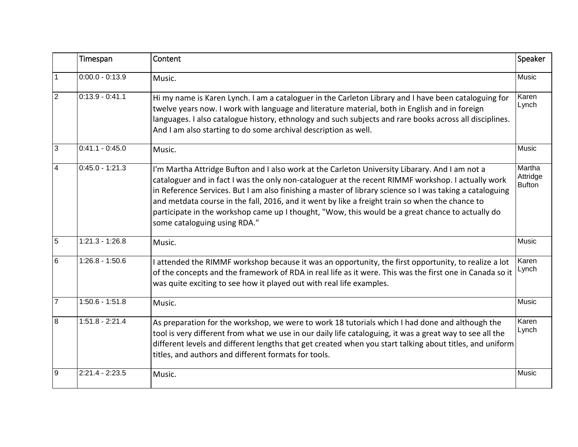|                | Timespan          | Content                                                                                                                                                                                                                                                                                                                                                                                                                                                                                                                                                 | Speaker                             |
|----------------|-------------------|---------------------------------------------------------------------------------------------------------------------------------------------------------------------------------------------------------------------------------------------------------------------------------------------------------------------------------------------------------------------------------------------------------------------------------------------------------------------------------------------------------------------------------------------------------|-------------------------------------|
| $\mathbf{1}$   | $0:00.0 - 0:13.9$ | Music.                                                                                                                                                                                                                                                                                                                                                                                                                                                                                                                                                  | <b>Music</b>                        |
| $\overline{2}$ | $0:13.9 - 0:41.1$ | Hi my name is Karen Lynch. I am a cataloguer in the Carleton Library and I have been cataloguing for<br>twelve years now. I work with language and literature material, both in English and in foreign<br>languages. I also catalogue history, ethnology and such subjects and rare books across all disciplines.<br>And I am also starting to do some archival description as well.                                                                                                                                                                    | Karen<br>Lynch                      |
| 3              | $0:41.1 - 0:45.0$ | Music.                                                                                                                                                                                                                                                                                                                                                                                                                                                                                                                                                  | Music                               |
| $\overline{4}$ | $0:45.0 - 1:21.3$ | I'm Martha Attridge Bufton and I also work at the Carleton University Libarary. And I am not a<br>cataloguer and in fact I was the only non-cataloguer at the recent RIMMF workshop. I actually work<br>in Reference Services. But I am also finishing a master of library science so I was taking a cataloguing<br>and metdata course in the fall, 2016, and it went by like a freight train so when the chance to<br>participate in the workshop came up I thought, "Wow, this would be a great chance to actually do<br>some cataloguing using RDA." | Martha<br>Attridge<br><b>Bufton</b> |
| $\overline{5}$ | $1:21.3 - 1:26.8$ | Music.                                                                                                                                                                                                                                                                                                                                                                                                                                                                                                                                                  | Music                               |
| 6              | $1:26.8 - 1:50.6$ | I attended the RIMMF workshop because it was an opportunity, the first opportunity, to realize a lot<br>of the concepts and the framework of RDA in real life as it were. This was the first one in Canada so it<br>was quite exciting to see how it played out with real life examples.                                                                                                                                                                                                                                                                | Karen<br>Lynch                      |
| 17             | $1:50.6 - 1:51.8$ | Music.                                                                                                                                                                                                                                                                                                                                                                                                                                                                                                                                                  | Music                               |
| 8              | $1:51.8 - 2:21.4$ | As preparation for the workshop, we were to work 18 tutorials which I had done and although the<br>tool is very different from what we use in our daily life cataloguing, it was a great way to see all the<br>different levels and different lengths that get created when you start talking about titles, and uniform<br>titles, and authors and different formats for tools.                                                                                                                                                                         | Karen<br>Lynch                      |
| <u>  9</u>     | $2:21.4 - 2:23.5$ | Music.                                                                                                                                                                                                                                                                                                                                                                                                                                                                                                                                                  | Music                               |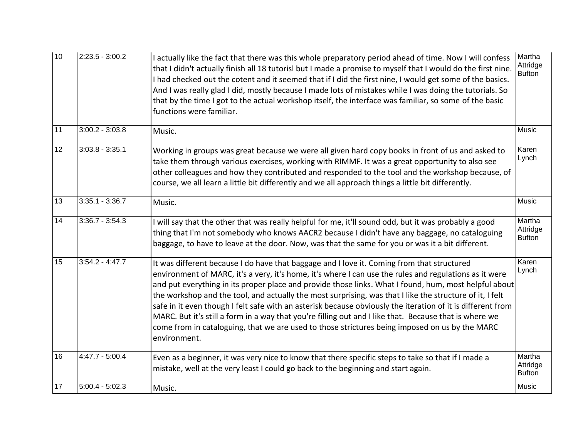| 10 | $2:23.5 - 3:00.2$ | I actually like the fact that there was this whole preparatory period ahead of time. Now I will confess<br>that I didn't actually finish all 18 tutorisl but I made a promise to myself that I would do the first nine.<br>I had checked out the cotent and it seemed that if I did the first nine, I would get some of the basics.<br>And I was really glad I did, mostly because I made lots of mistakes while I was doing the tutorials. So<br>that by the time I got to the actual workshop itself, the interface was familiar, so some of the basic<br>functions were familiar.                                                                                                                                                                                 | Martha<br>Attridge<br><b>Bufton</b> |
|----|-------------------|----------------------------------------------------------------------------------------------------------------------------------------------------------------------------------------------------------------------------------------------------------------------------------------------------------------------------------------------------------------------------------------------------------------------------------------------------------------------------------------------------------------------------------------------------------------------------------------------------------------------------------------------------------------------------------------------------------------------------------------------------------------------|-------------------------------------|
| 11 | $3:00.2 - 3:03.8$ | Music.                                                                                                                                                                                                                                                                                                                                                                                                                                                                                                                                                                                                                                                                                                                                                               | Music                               |
| 12 | $3:03.8 - 3:35.1$ | Working in groups was great because we were all given hard copy books in front of us and asked to<br>take them through various exercises, working with RIMMF. It was a great opportunity to also see<br>other colleagues and how they contributed and responded to the tool and the workshop because, of<br>course, we all learn a little bit differently and we all approach things a little bit differently.                                                                                                                                                                                                                                                                                                                                                       | Karen<br>Lynch                      |
| 13 | $3:35.1 - 3:36.7$ | Music.                                                                                                                                                                                                                                                                                                                                                                                                                                                                                                                                                                                                                                                                                                                                                               | Music                               |
| 14 | $3:36.7 - 3:54.3$ | I will say that the other that was really helpful for me, it'll sound odd, but it was probably a good<br>thing that I'm not somebody who knows AACR2 because I didn't have any baggage, no cataloguing<br>baggage, to have to leave at the door. Now, was that the same for you or was it a bit different.                                                                                                                                                                                                                                                                                                                                                                                                                                                           | Martha<br>Attridge<br><b>Bufton</b> |
| 15 | $3:54.2 - 4:47.7$ | It was different because I do have that baggage and I love it. Coming from that structured<br>environment of MARC, it's a very, it's home, it's where I can use the rules and regulations as it were<br>and put everything in its proper place and provide those links. What I found, hum, most helpful about<br>the workshop and the tool, and actually the most surprising, was that I like the structure of it, I felt<br>safe in it even though I felt safe with an asterisk because obviously the iteration of it is different from<br>MARC. But it's still a form in a way that you're filling out and I like that. Because that is where we<br>come from in cataloguing, that we are used to those strictures being imposed on us by the MARC<br>environment. | Karen<br>Lynch                      |
| 16 | $4:47.7 - 5:00.4$ | Even as a beginner, it was very nice to know that there specific steps to take so that if I made a<br>mistake, well at the very least I could go back to the beginning and start again.                                                                                                                                                                                                                                                                                                                                                                                                                                                                                                                                                                              | Martha<br>Attridge<br><b>Bufton</b> |
| 17 | $5:00.4 - 5:02.3$ | Music.                                                                                                                                                                                                                                                                                                                                                                                                                                                                                                                                                                                                                                                                                                                                                               | Music                               |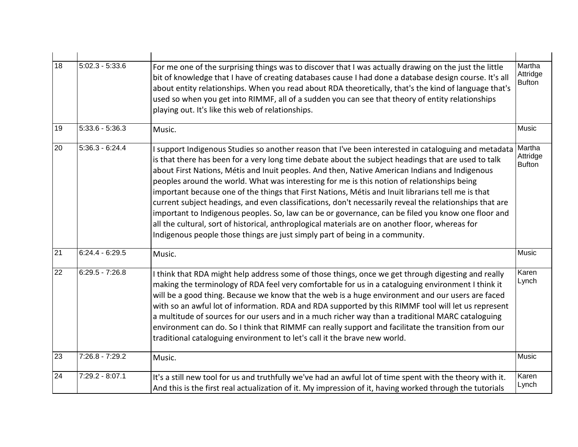| 18 | $5:02.3 - 5:33.6$ | For me one of the surprising things was to discover that I was actually drawing on the just the little<br>bit of knowledge that I have of creating databases cause I had done a database design course. It's all<br>about entity relationships. When you read about RDA theoretically, that's the kind of language that's<br>used so when you get into RIMMF, all of a sudden you can see that theory of entity relationships<br>playing out. It's like this web of relationships.                                                                                                                                                                                                                                                                                                                                                                                                                                      | Martha<br>Attridge<br><b>Bufton</b> |
|----|-------------------|-------------------------------------------------------------------------------------------------------------------------------------------------------------------------------------------------------------------------------------------------------------------------------------------------------------------------------------------------------------------------------------------------------------------------------------------------------------------------------------------------------------------------------------------------------------------------------------------------------------------------------------------------------------------------------------------------------------------------------------------------------------------------------------------------------------------------------------------------------------------------------------------------------------------------|-------------------------------------|
| 19 | $5:33.6 - 5:36.3$ | Music.                                                                                                                                                                                                                                                                                                                                                                                                                                                                                                                                                                                                                                                                                                                                                                                                                                                                                                                  | Music                               |
| 20 | $5:36.3 - 6:24.4$ | I support Indigenous Studies so another reason that I've been interested in cataloguing and metadata<br>is that there has been for a very long time debate about the subject headings that are used to talk<br>about First Nations, Métis and Inuit peoples. And then, Native American Indians and Indigenous<br>peoples around the world. What was interesting for me is this notion of relationships being<br>important because one of the things that First Nations, Métis and Inuit librarians tell me is that<br>current subject headings, and even classifications, don't necessarily reveal the relationships that are<br>important to Indigenous peoples. So, law can be or governance, can be filed you know one floor and<br>all the cultural, sort of historical, anthroplogical materials are on another floor, whereas for<br>Indigenous people those things are just simply part of being in a community. | Martha<br>Attridge<br><b>Bufton</b> |
| 21 | $6:24.4 - 6:29.5$ | Music.                                                                                                                                                                                                                                                                                                                                                                                                                                                                                                                                                                                                                                                                                                                                                                                                                                                                                                                  | Music                               |
| 22 | $6:29.5 - 7:26.8$ | I think that RDA might help address some of those things, once we get through digesting and really<br>making the terminology of RDA feel very comfortable for us in a cataloguing environment I think it<br>will be a good thing. Because we know that the web is a huge environment and our users are faced<br>with so an awful lot of information. RDA and RDA supported by this RIMMF tool will let us represent<br>a multitude of sources for our users and in a much richer way than a traditional MARC cataloguing<br>environment can do. So I think that RIMMF can really support and facilitate the transition from our<br>traditional cataloguing environment to let's call it the brave new world.                                                                                                                                                                                                            | Karen<br>Lynch                      |
| 23 | $7:26.8 - 7:29.2$ | Music.                                                                                                                                                                                                                                                                                                                                                                                                                                                                                                                                                                                                                                                                                                                                                                                                                                                                                                                  | Music                               |
| 24 | 7:29.2 - 8:07.1   | It's a still new tool for us and truthfully we've had an awful lot of time spent with the theory with it.<br>And this is the first real actualization of it. My impression of it, having worked through the tutorials                                                                                                                                                                                                                                                                                                                                                                                                                                                                                                                                                                                                                                                                                                   | Karen<br>Lynch                      |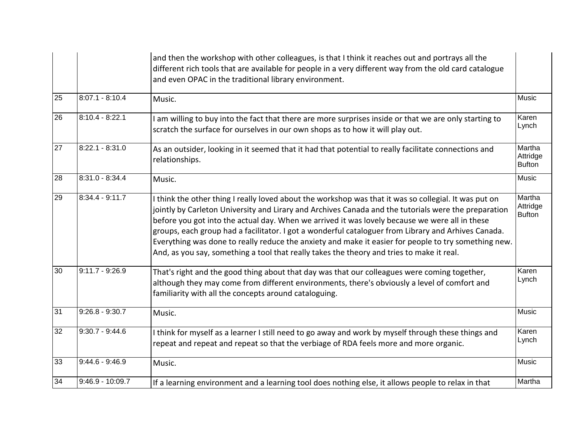|    |                    | and then the workshop with other colleagues, is that I think it reaches out and portrays all the<br>different rich tools that are available for people in a very different way from the old card catalogue<br>and even OPAC in the traditional library environment.                                                                                                                                                                                                                                                                                                                                                         |                                     |
|----|--------------------|-----------------------------------------------------------------------------------------------------------------------------------------------------------------------------------------------------------------------------------------------------------------------------------------------------------------------------------------------------------------------------------------------------------------------------------------------------------------------------------------------------------------------------------------------------------------------------------------------------------------------------|-------------------------------------|
| 25 | $8:07.1 - 8:10.4$  | Music.                                                                                                                                                                                                                                                                                                                                                                                                                                                                                                                                                                                                                      | Music                               |
| 26 | $8:10.4 - 8:22.1$  | am willing to buy into the fact that there are more surprises inside or that we are only starting to<br>scratch the surface for ourselves in our own shops as to how it will play out.                                                                                                                                                                                                                                                                                                                                                                                                                                      | Karen<br>Lynch                      |
| 27 | $8:22.1 - 8:31.0$  | As an outsider, looking in it seemed that it had that potential to really facilitate connections and<br>relationships.                                                                                                                                                                                                                                                                                                                                                                                                                                                                                                      | Martha<br>Attridge<br><b>Bufton</b> |
| 28 | $8:31.0 - 8:34.4$  | Music.                                                                                                                                                                                                                                                                                                                                                                                                                                                                                                                                                                                                                      | Music                               |
| 29 | $8:34.4 - 9:11.7$  | I think the other thing I really loved about the workshop was that it was so collegial. It was put on<br>jointly by Carleton University and Lirary and Archives Canada and the tutorials were the preparation<br>before you got into the actual day. When we arrived it was lovely because we were all in these<br>groups, each group had a facilitator. I got a wonderful cataloguer from Library and Arhives Canada.<br>Everything was done to really reduce the anxiety and make it easier for people to try something new.<br>And, as you say, something a tool that really takes the theory and tries to make it real. | Martha<br>Attridge<br><b>Bufton</b> |
| 30 | $9:11.7 - 9:26.9$  | That's right and the good thing about that day was that our colleagues were coming together,<br>although they may come from different environments, there's obviously a level of comfort and<br>familiarity with all the concepts around cataloguing.                                                                                                                                                                                                                                                                                                                                                                       | Karen<br>Lynch                      |
| 31 | $9:26.8 - 9:30.7$  | Music.                                                                                                                                                                                                                                                                                                                                                                                                                                                                                                                                                                                                                      | Music                               |
| 32 | $9:30.7 - 9:44.6$  | I think for myself as a learner I still need to go away and work by myself through these things and<br>repeat and repeat and repeat so that the verbiage of RDA feels more and more organic.                                                                                                                                                                                                                                                                                                                                                                                                                                | Karen<br>Lynch                      |
| 33 | $9:44.6 - 9:46.9$  | Music.                                                                                                                                                                                                                                                                                                                                                                                                                                                                                                                                                                                                                      | <b>Music</b>                        |
| 34 | $9:46.9 - 10:09.7$ | If a learning environment and a learning tool does nothing else, it allows people to relax in that                                                                                                                                                                                                                                                                                                                                                                                                                                                                                                                          | Martha                              |